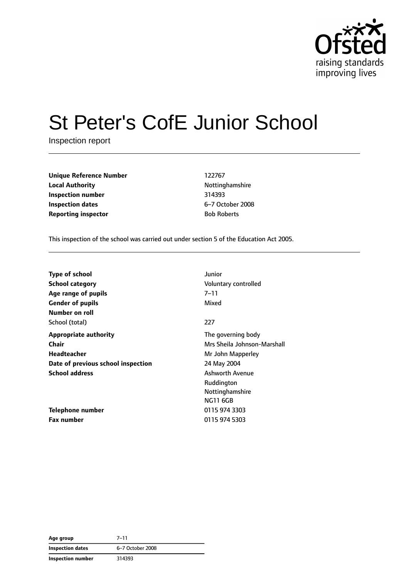

# St Peter's CofE Junior School

Inspection report

**Unique Reference Number** 122767 **Local Authority Nottinghamshire Inspection number** 314393 **Inspection dates** 6–7 October 2008 **Reporting inspector Bob Roberts** 

This inspection of the school was carried out under section 5 of the Education Act 2005.

| <b>Type of school</b>              | Junior                      |
|------------------------------------|-----------------------------|
| <b>School category</b>             | Voluntary controlled        |
| Age range of pupils                | 7–11                        |
| <b>Gender of pupils</b>            | Mixed                       |
| Number on roll                     |                             |
| School (total)                     | 227                         |
| <b>Appropriate authority</b>       | The governing body          |
| <b>Chair</b>                       | Mrs Sheila Johnson-Marshall |
| Headteacher                        | Mr John Mapperley           |
| Date of previous school inspection | 24 May 2004                 |
| <b>School address</b>              | <b>Ashworth Avenue</b>      |
|                                    | Ruddington                  |
|                                    | Nottinghamshire             |
|                                    | <b>NG11 6GB</b>             |
| Telephone number                   | 0115 974 3303               |
| <b>Fax number</b>                  | 0115 974 5303               |

**Age group** 7–11 **Inspection dates** 6–7 October 2008 **Inspection number** 314393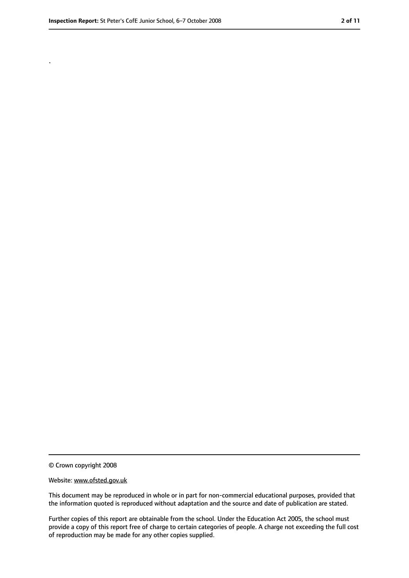.

<sup>©</sup> Crown copyright 2008

Website: www.ofsted.gov.uk

This document may be reproduced in whole or in part for non-commercial educational purposes, provided that the information quoted is reproduced without adaptation and the source and date of publication are stated.

Further copies of this report are obtainable from the school. Under the Education Act 2005, the school must provide a copy of this report free of charge to certain categories of people. A charge not exceeding the full cost of reproduction may be made for any other copies supplied.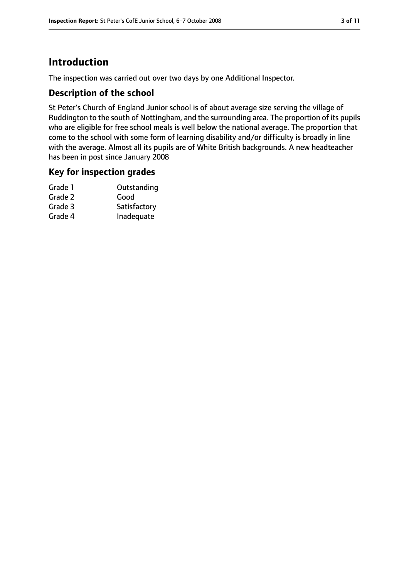# **Introduction**

The inspection was carried out over two days by one Additional Inspector.

#### **Description of the school**

St Peter's Church of England Junior school is of about average size serving the village of Ruddington to the south of Nottingham, and the surrounding area. The proportion of its pupils who are eligible for free school meals is well below the national average. The proportion that come to the school with some form of learning disability and/or difficulty is broadly in line with the average. Almost all its pupils are of White British backgrounds. A new headteacher has been in post since January 2008

#### **Key for inspection grades**

| Grade 1 | Outstanding  |
|---------|--------------|
| Grade 2 | Good         |
| Grade 3 | Satisfactory |
| Grade 4 | Inadequate   |
|         |              |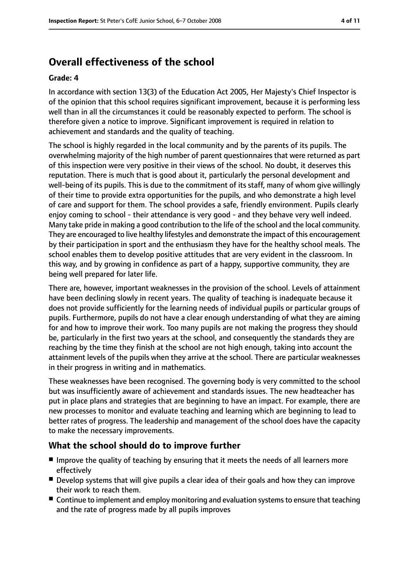# **Overall effectiveness of the school**

#### **Grade: 4**

In accordance with section 13(3) of the Education Act 2005, Her Majesty's Chief Inspector is of the opinion that this school requires significant improvement, because it is performing less well than in all the circumstances it could be reasonably expected to perform. The school is therefore given a notice to improve. Significant improvement is required in relation to achievement and standards and the quality of teaching.

The school is highly regarded in the local community and by the parents of its pupils. The overwhelming majority of the high number of parent questionnaires that were returned as part of this inspection were very positive in their views of the school. No doubt, it deserves this reputation. There is much that is good about it, particularly the personal development and well-being of its pupils. This is due to the commitment of its staff, many of whom give willingly of their time to provide extra opportunities for the pupils, and who demonstrate a high level of care and support for them. The school provides a safe, friendly environment. Pupils clearly enjoy coming to school - their attendance is very good - and they behave very well indeed. Many take pride in making a good contribution to the life of the school and the local community. They are encouraged to live healthy lifestyles and demonstrate the impact of this encouragement by their participation in sport and the enthusiasm they have for the healthy school meals. The school enables them to develop positive attitudes that are very evident in the classroom. In this way, and by growing in confidence as part of a happy, supportive community, they are being well prepared for later life.

There are, however, important weaknesses in the provision of the school. Levels of attainment have been declining slowly in recent years. The quality of teaching is inadequate because it does not provide sufficiently for the learning needs of individual pupils or particular groups of pupils. Furthermore, pupils do not have a clear enough understanding of what they are aiming for and how to improve their work. Too many pupils are not making the progress they should be, particularly in the first two years at the school, and consequently the standards they are reaching by the time they finish at the school are not high enough, taking into account the attainment levels of the pupils when they arrive at the school. There are particular weaknesses in their progress in writing and in mathematics.

These weaknesses have been recognised. The governing body is very committed to the school but was insufficiently aware of achievement and standards issues. The new headteacher has put in place plans and strategies that are beginning to have an impact. For example, there are new processes to monitor and evaluate teaching and learning which are beginning to lead to better rates of progress. The leadership and management of the school does have the capacity to make the necessary improvements.

### **What the school should do to improve further**

- Improve the quality of teaching by ensuring that it meets the needs of all learners more effectively
- Develop systems that will give pupils a clear idea of their goals and how they can improve their work to reach them.
- Continue to implement and employ monitoring and evaluation systems to ensure that teaching and the rate of progress made by all pupils improves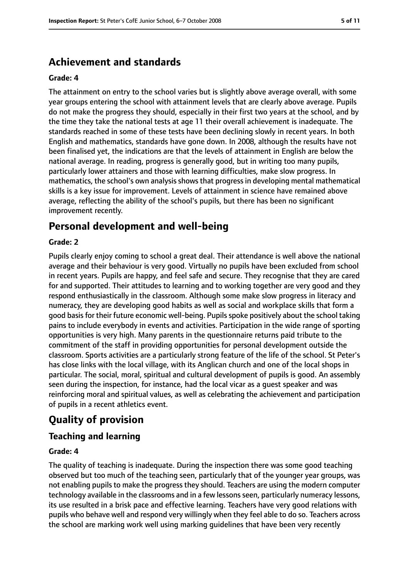# **Achievement and standards**

#### **Grade: 4**

The attainment on entry to the school varies but is slightly above average overall, with some year groups entering the school with attainment levels that are clearly above average. Pupils do not make the progress they should, especially in their first two years at the school, and by the time they take the national tests at age 11 their overall achievement is inadequate. The standards reached in some of these tests have been declining slowly in recent years. In both English and mathematics, standards have gone down. In 2008, although the results have not been finalised yet, the indications are that the levels of attainment in English are below the national average. In reading, progress is generally good, but in writing too many pupils, particularly lower attainers and those with learning difficulties, make slow progress. In mathematics, the school's own analysis shows that progress in developing mental mathematical skills is a key issue for improvement. Levels of attainment in science have remained above average, reflecting the ability of the school's pupils, but there has been no significant improvement recently.

# **Personal development and well-being**

#### **Grade: 2**

Pupils clearly enjoy coming to school a great deal. Their attendance is well above the national average and their behaviour is very good. Virtually no pupils have been excluded from school in recent years. Pupils are happy, and feel safe and secure. They recognise that they are cared for and supported. Their attitudes to learning and to working together are very good and they respond enthusiastically in the classroom. Although some make slow progress in literacy and numeracy, they are developing good habits as well as social and workplace skills that form a good basis for their future economic well-being. Pupils spoke positively about the school taking pains to include everybody in events and activities. Participation in the wide range of sporting opportunities is very high. Many parents in the questionnaire returns paid tribute to the commitment of the staff in providing opportunities for personal development outside the classroom. Sports activities are a particularly strong feature of the life of the school. St Peter's has close links with the local village, with its Anglican church and one of the local shops in particular. The social, moral, spiritual and cultural development of pupils is good. An assembly seen during the inspection, for instance, had the local vicar as a guest speaker and was reinforcing moral and spiritual values, as well as celebrating the achievement and participation of pupils in a recent athletics event.

# **Quality of provision**

### **Teaching and learning**

#### **Grade: 4**

The quality of teaching is inadequate. During the inspection there was some good teaching observed but too much of the teaching seen, particularly that of the younger year groups, was not enabling pupils to make the progress they should. Teachers are using the modern computer technology available in the classrooms and in a few lessons seen, particularly numeracy lessons, its use resulted in a brisk pace and effective learning. Teachers have very good relations with pupils who behave well and respond very willingly when they feel able to do so. Teachers across the school are marking work well using marking guidelines that have been very recently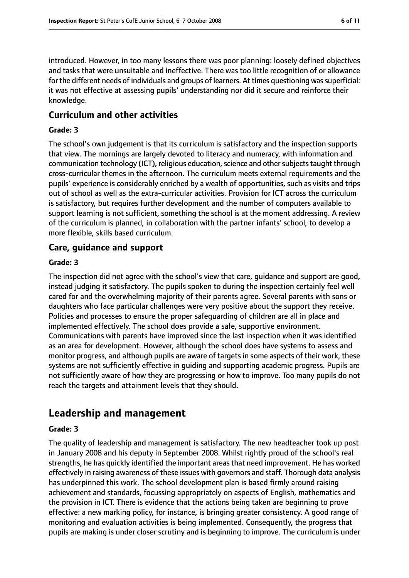introduced. However, in too many lessons there was poor planning: loosely defined objectives and tasks that were unsuitable and ineffective. There was too little recognition of or allowance for the different needs of individuals and groups of learners. At times questioning was superficial: it was not effective at assessing pupils' understanding nor did it secure and reinforce their knowledge.

#### **Curriculum and other activities**

#### **Grade: 3**

The school's own judgement is that its curriculum is satisfactory and the inspection supports that view. The mornings are largely devoted to literacy and numeracy, with information and communication technology (ICT), religious education, science and other subjects taught through cross-curricular themes in the afternoon. The curriculum meets external requirements and the pupils' experience is considerably enriched by a wealth of opportunities, such as visits and trips out of school as well as the extra-curricular activities. Provision for ICT across the curriculum is satisfactory, but requires further development and the number of computers available to support learning is not sufficient, something the school is at the moment addressing. A review of the curriculum is planned, in collaboration with the partner infants' school, to develop a more flexible, skills based curriculum.

#### **Care, guidance and support**

#### **Grade: 3**

The inspection did not agree with the school's view that care, guidance and support are good, instead judging it satisfactory. The pupils spoken to during the inspection certainly feel well cared for and the overwhelming majority of their parents agree. Several parents with sons or daughters who face particular challenges were very positive about the support they receive. Policies and processes to ensure the proper safeguarding of children are all in place and implemented effectively. The school does provide a safe, supportive environment. Communications with parents have improved since the last inspection when it was identified as an area for development. However, although the school does have systems to assess and monitor progress, and although pupils are aware of targets in some aspects of their work, these systems are not sufficiently effective in guiding and supporting academic progress. Pupils are not sufficiently aware of how they are progressing or how to improve. Too many pupils do not reach the targets and attainment levels that they should.

# **Leadership and management**

#### **Grade: 3**

The quality of leadership and management is satisfactory. The new headteacher took up post in January 2008 and his deputy in September 2008. Whilst rightly proud of the school's real strengths, he has quickly identified the important areasthat need improvement. He has worked effectively in raising awareness of these issues with governors and staff. Thorough data analysis has underpinned this work. The school development plan is based firmly around raising achievement and standards, focussing appropriately on aspects of English, mathematics and the provision in ICT. There is evidence that the actions being taken are beginning to prove effective: a new marking policy, for instance, is bringing greater consistency. A good range of monitoring and evaluation activities is being implemented. Consequently, the progress that pupils are making is under closer scrutiny and is beginning to improve. The curriculum is under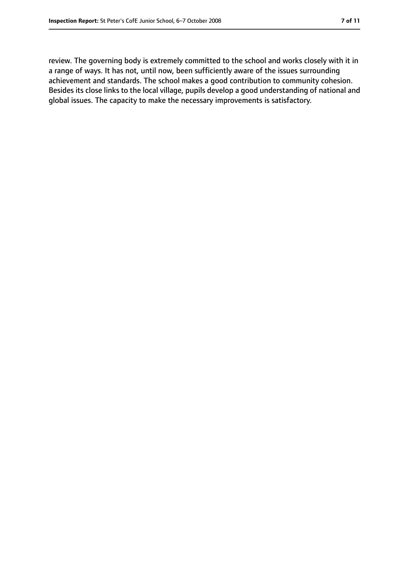review. The governing body is extremely committed to the school and works closely with it in a range of ways. It has not, until now, been sufficiently aware of the issues surrounding achievement and standards. The school makes a good contribution to community cohesion. Besides its close links to the local village, pupils develop a good understanding of national and global issues. The capacity to make the necessary improvements is satisfactory.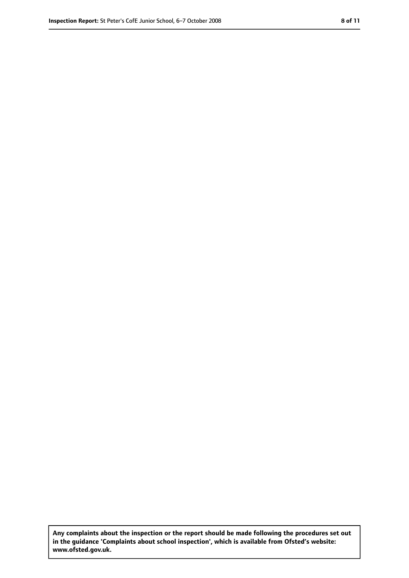**Any complaints about the inspection or the report should be made following the procedures set out in the guidance 'Complaints about school inspection', which is available from Ofsted's website: www.ofsted.gov.uk.**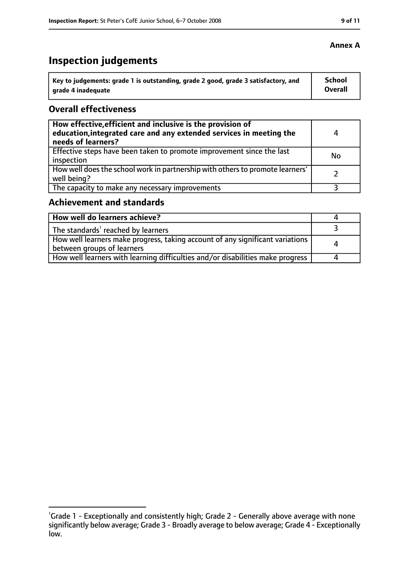# **Inspection judgements**

| Key to judgements: grade 1 is outstanding, grade 2 good, grade 3 satisfactory, and | School  |
|------------------------------------------------------------------------------------|---------|
| arade 4 inadequate                                                                 | Overall |

#### **Overall effectiveness**

| How effective, efficient and inclusive is the provision of<br>education, integrated care and any extended services in meeting the<br>needs of learners? | 4         |
|---------------------------------------------------------------------------------------------------------------------------------------------------------|-----------|
| Effective steps have been taken to promote improvement since the last<br>inspection                                                                     | <b>No</b> |
| How well does the school work in partnership with others to promote learners'<br>well being?                                                            |           |
| The capacity to make any necessary improvements                                                                                                         |           |

# **Achievement and standards**

| How well do learners achieve?                                                                                 |  |
|---------------------------------------------------------------------------------------------------------------|--|
| $\vert$ The standards <sup>1</sup> reached by learners                                                        |  |
| How well learners make progress, taking account of any significant variations  <br>between groups of learners |  |
| How well learners with learning difficulties and/or disabilities make progress                                |  |

#### **Annex A**

<sup>&</sup>lt;sup>1</sup>Grade 1 - Exceptionally and consistently high; Grade 2 - Generally above average with none significantly below average; Grade 3 - Broadly average to below average; Grade 4 - Exceptionally low.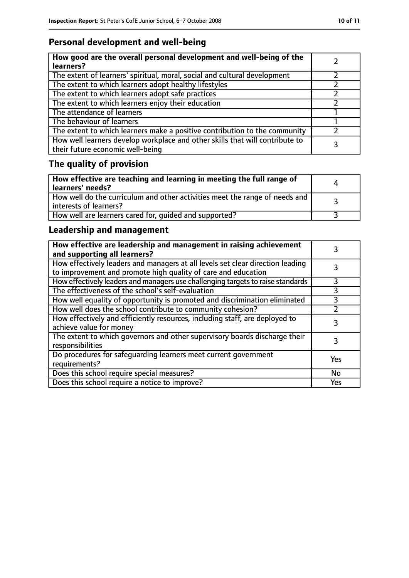# **Personal development and well-being**

| How good are the overall personal development and well-being of the<br>learners?                                 |  |
|------------------------------------------------------------------------------------------------------------------|--|
| The extent of learners' spiritual, moral, social and cultural development                                        |  |
| The extent to which learners adopt healthy lifestyles                                                            |  |
| The extent to which learners adopt safe practices                                                                |  |
| The extent to which learners enjoy their education                                                               |  |
| The attendance of learners                                                                                       |  |
| The behaviour of learners                                                                                        |  |
| The extent to which learners make a positive contribution to the community                                       |  |
| How well learners develop workplace and other skills that will contribute to<br>their future economic well-being |  |

# **The quality of provision**

| How effective are teaching and learning in meeting the full range of<br>learners' needs?                | Д |
|---------------------------------------------------------------------------------------------------------|---|
| How well do the curriculum and other activities meet the range of needs and<br>  interests of learners? |   |
| How well are learners cared for, quided and supported?                                                  |   |

# **Leadership and management**

| How effective are leadership and management in raising achievement<br>and supporting all learners?                                              |     |
|-------------------------------------------------------------------------------------------------------------------------------------------------|-----|
| How effectively leaders and managers at all levels set clear direction leading<br>to improvement and promote high quality of care and education |     |
| How effectively leaders and managers use challenging targets to raise standards                                                                 |     |
| The effectiveness of the school's self-evaluation                                                                                               | 3   |
| How well equality of opportunity is promoted and discrimination eliminated                                                                      | 3   |
| How well does the school contribute to community cohesion?                                                                                      |     |
| How effectively and efficiently resources, including staff, are deployed to<br>achieve value for money                                          | 3   |
| The extent to which governors and other supervisory boards discharge their<br>responsibilities                                                  |     |
| Do procedures for safequarding learners meet current government<br>requirements?                                                                | Yes |
| Does this school require special measures?                                                                                                      | No  |
| Does this school require a notice to improve?                                                                                                   | Yes |